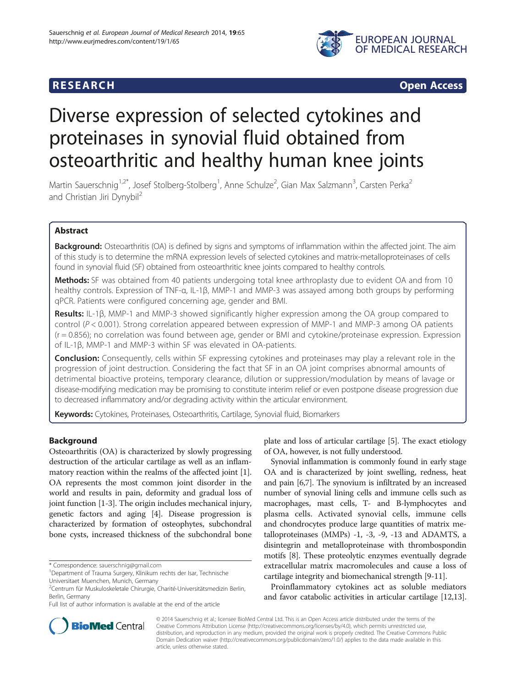

**RESEARCH RESEARCH CONSUMING ACCESS** 

# Diverse expression of selected cytokines and proteinases in synovial fluid obtained from osteoarthritic and healthy human knee joints

Martin Sauerschnig<sup>1,2\*</sup>, Josef Stolberg-Stolberg<sup>1</sup>, Anne Schulze<sup>2</sup>, Gian Max Salzmann<sup>3</sup>, Carsten Perka<sup>2</sup> and Christian Jiri Dynybil<sup>2</sup>

# Abstract

**Background:** Osteoarthritis (OA) is defined by signs and symptoms of inflammation within the affected joint. The aim of this study is to determine the mRNA expression levels of selected cytokines and matrix-metalloproteinases of cells found in synovial fluid (SF) obtained from osteoarthritic knee joints compared to healthy controls.

Methods: SF was obtained from 40 patients undergoing total knee arthroplasty due to evident OA and from 10 healthy controls. Expression of TNF-α, IL-1β, MMP-1 and MMP-3 was assayed among both groups by performing qPCR. Patients were configured concerning age, gender and BMI.

Results: IL-1β, MMP-1 and MMP-3 showed significantly higher expression among the OA group compared to control (P < 0.001). Strong correlation appeared between expression of MMP-1 and MMP-3 among OA patients (r = 0.856); no correlation was found between age, gender or BMI and cytokine/proteinase expression. Expression of IL-1β, MMP-1 and MMP-3 within SF was elevated in OA-patients.

**Conclusion:** Consequently, cells within SF expressing cytokines and proteinases may play a relevant role in the progression of joint destruction. Considering the fact that SF in an OA joint comprises abnormal amounts of detrimental bioactive proteins, temporary clearance, dilution or suppression/modulation by means of lavage or disease-modifying medication may be promising to constitute interim relief or even postpone disease progression due to decreased inflammatory and/or degrading activity within the articular environment.

Keywords: Cytokines, Proteinases, Osteoarthritis, Cartilage, Synovial fluid, Biomarkers

# Background

Osteoarthritis (OA) is characterized by slowly progressing destruction of the articular cartilage as well as an inflammatory reaction within the realms of the affected joint [[1](#page-4-0)]. OA represents the most common joint disorder in the world and results in pain, deformity and gradual loss of joint function [[1-3\]](#page-4-0). The origin includes mechanical injury, genetic factors and aging [[4\]](#page-4-0). Disease progression is characterized by formation of osteophytes, subchondral bone cysts, increased thickness of the subchondral bone

\* Correspondence: [sauerschnig@gmail.com](mailto:sauerschnig@gmail.com) <sup>1</sup>

Full list of author information is available at the end of the article

plate and loss of articular cartilage [[5\]](#page-4-0). The exact etiology of OA, however, is not fully understood.

Synovial inflammation is commonly found in early stage OA and is characterized by joint swelling, redness, heat and pain [[6,7](#page-4-0)]. The synovium is infiltrated by an increased number of synovial lining cells and immune cells such as macrophages, mast cells, T- and B-lymphocytes and plasma cells. Activated synovial cells, immune cells and chondrocytes produce large quantities of matrix metalloproteinases (MMPs) -1, -3, -9, -13 and ADAMTS, a disintegrin and metalloproteinase with thrombospondin motifs [[8\]](#page-4-0). These proteolytic enzymes eventually degrade extracellular matrix macromolecules and cause a loss of cartilage integrity and biomechanical strength [\[9-11](#page-4-0)].

Proinflammatory cytokines act as soluble mediators and favor catabolic activities in articular cartilage [\[12,13](#page-4-0)].



© 2014 Sauerschnig et al.; licensee BioMed Central Ltd. This is an Open Access article distributed under the terms of the Creative Commons Attribution License (<http://creativecommons.org/licenses/by/4.0>), which permits unrestricted use, distribution, and reproduction in any medium, provided the original work is properly credited. The Creative Commons Public Domain Dedication waiver [\(http://creativecommons.org/publicdomain/zero/1.0/\)](http://creativecommons.org/publicdomain/zero/1.0/) applies to the data made available in this article, unless otherwise stated.

<sup>&</sup>lt;sup>1</sup>Department of Trauma Surgery, Klinikum rechts der Isar, Technische Universitaet Muenchen, Munich, Germany

<sup>2</sup> Centrum für Muskuloskeletale Chirurgie, Charité-Universitätsmedizin Berlin, Berlin, Germany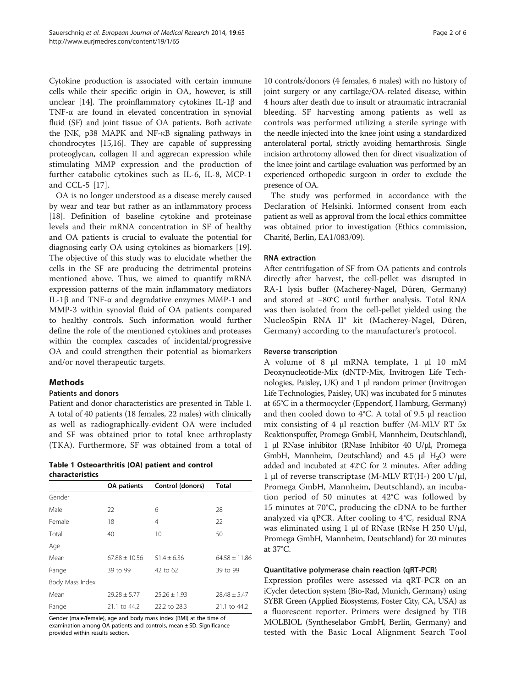<span id="page-1-0"></span>Cytokine production is associated with certain immune cells while their specific origin in OA, however, is still unclear [\[14\]](#page-4-0). The proinflammatory cytokines IL-1β and TNF-α are found in elevated concentration in synovial fluid (SF) and joint tissue of OA patients. Both activate the JNK, p38 MAPK and NF-κB signaling pathways in chondrocytes [[15,16](#page-4-0)]. They are capable of suppressing proteoglycan, collagen II and aggrecan expression while stimulating MMP expression and the production of further catabolic cytokines such as IL-6, IL-8, MCP-1 and CCL-5 [[17\]](#page-4-0).

OA is no longer understood as a disease merely caused by wear and tear but rather as an inflammatory process [[18\]](#page-4-0). Definition of baseline cytokine and proteinase levels and their mRNA concentration in SF of healthy and OA patients is crucial to evaluate the potential for diagnosing early OA using cytokines as biomarkers [\[19](#page-5-0)]. The objective of this study was to elucidate whether the cells in the SF are producing the detrimental proteins mentioned above. Thus, we aimed to quantify mRNA expression patterns of the main inflammatory mediators IL-1β and TNF-α and degradative enzymes MMP-1 and MMP-3 within synovial fluid of OA patients compared to healthy controls. Such information would further define the role of the mentioned cytokines and proteases within the complex cascades of incidental/progressive OA and could strengthen their potential as biomarkers and/or novel therapeutic targets.

# Methods

#### Patients and donors

Patient and donor characteristics are presented in Table 1. A total of 40 patients (18 females, 22 males) with clinically as well as radiographically-evident OA were included and SF was obtained prior to total knee arthroplasty (TKA). Furthermore, SF was obtained from a total of

|                        | Table 1 Osteoarthritis (OA) patient and control |  |  |
|------------------------|-------------------------------------------------|--|--|
| <b>characteristics</b> |                                                 |  |  |

|                 | <b>OA patients</b> | Control (donors) | Total            |
|-----------------|--------------------|------------------|------------------|
| Gender          |                    |                  |                  |
| Male            | 22                 | 6                | 28               |
| Female          | 18                 | 4                | 22               |
| Total           | 40                 | 10               | 50               |
| Age             |                    |                  |                  |
| Mean            | $67.88 + 10.56$    | $51.4 + 6.36$    | $64.58 + 11.86$  |
| Range           | 39 to 99           | 42 to 62         | 39 to 99         |
| Body Mass Index |                    |                  |                  |
| Mean            | $29.28 \pm 5.77$   | $25.26 + 1.93$   | $28.48 \pm 5.47$ |
| Range           | 21.1 to 44.2       | 22.2 to 28.3     | 21.1 to 44.2     |

Gender (male/female), age and body mass index (BMI) at the time of examination among OA patients and controls, mean ± SD. Significance provided within results section.

10 controls/donors (4 females, 6 males) with no history of joint surgery or any cartilage/OA-related disease, within 4 hours after death due to insult or atraumatic intracranial bleeding. SF harvesting among patients as well as controls was performed utilizing a sterile syringe with the needle injected into the knee joint using a standardized anterolateral portal, strictly avoiding hemarthrosis. Single incision arthrotomy allowed then for direct visualization of the knee joint and cartilage evaluation was performed by an experienced orthopedic surgeon in order to exclude the presence of OA.

The study was performed in accordance with the Declaration of Helsinki. Informed consent from each patient as well as approval from the local ethics committee was obtained prior to investigation (Ethics commission, Charité, Berlin, EA1/083/09).

#### RNA extraction

After centrifugation of SF from OA patients and controls directly after harvest, the cell-pellet was disrupted in RA-1 lysis buffer (Macherey-Nagel, Düren, Germany) and stored at −80°C until further analysis. Total RNA was then isolated from the cell-pellet yielded using the NucleoSpin RNA II® kit (Macherey-Nagel, Düren, Germany) according to the manufacturer's protocol.

#### Reverse transcription

A volume of 8 μl mRNA template, 1 μl 10 mM Deoxynucleotide-Mix (dNTP-Mix, Invitrogen Life Technologies, Paisley, UK) and 1 μl random primer (Invitrogen Life Technologies, Paisley, UK) was incubated for 5 minutes at 65°C in a thermocycler (Eppendorf, Hamburg, Germany) and then cooled down to 4°C. A total of 9.5 μl reaction mix consisting of 4 μl reaction buffer (M-MLV RT 5x Reaktionspuffer, Promega GmbH, Mannheim, Deutschland), 1 μl RNase inhibitor (RNase Inhibitor 40 U/μl, Promega GmbH, Mannheim, Deutschland) and  $4.5$   $\mu$ l H<sub>2</sub>O were added and incubated at 42°C for 2 minutes. After adding 1 μl of reverse transcriptase (M-MLV RT(H-) 200 U/μl, Promega GmbH, Mannheim, Deutschland), an incubation period of 50 minutes at 42°C was followed by 15 minutes at 70°C, producing the cDNA to be further analyzed via qPCR. After cooling to 4°C, residual RNA was eliminated using 1 μl of RNase (RNse H 250 U/μl, Promega GmbH, Mannheim, Deutschland) for 20 minutes at 37°C.

#### Quantitative polymerase chain reaction (qRT-PCR)

Expression profiles were assessed via qRT-PCR on an iCycler detection system (Bio-Rad, Munich, Germany) using SYBR Green (Applied Biosystems, Foster City, CA, USA) as a fluorescent reporter. Primers were designed by TIB MOLBIOL (Syntheselabor GmbH, Berlin, Germany) and tested with the Basic Local Alignment Search Tool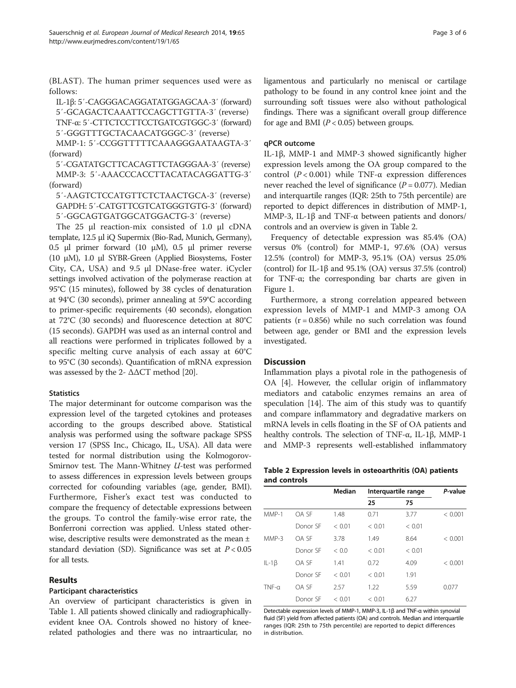(BLAST). The human primer sequences used were as follows:

IL-1β: 5′-CAGGGACAGGATATGGAGCAA-3′ (forward) 5′-GCAGACTCAAATTCCAGCTTGTTA-3′ (reverse) TNF-α: 5′-CTTCTCCTTCCTGATCGTGGC-3′ (forward) 5′-GGGTTTGCTACAACATGGGC-3′ (reverse)

MMP-1: 5′-CCGGTTTTTCAAAGGGAATAAGTA-3′ (forward)

5′-CGATATGCTTCACAGTTCTAGGGAA-3′ (reverse) MMP-3: 5′-AAACCCACCTTACATACAGGATTG-3′ (forward)

5′-AAGTCTCCATGTTCTCTAACTGCA-3′ (reverse) GAPDH: 5′-CATGTTCGTCATGGGTGTG-3′ (forward) 5′-GGCAGTGATGGCATGGACTG-3′ (reverse)

The 25 μl reaction-mix consisted of 1.0 μl cDNA template, 12.5 μl iQ Supermix (Bio-Rad, Munich, Germany), 0.5 μl primer forward (10 μM), 0.5 μl primer reverse (10 μM), 1.0 μl SYBR-Green (Applied Biosystems, Foster City, CA, USA) and 9.5 μl DNase-free water. iCycler settings involved activation of the polymerase reaction at 95°C (15 minutes), followed by 38 cycles of denaturation at 94°C (30 seconds), primer annealing at 59°C according to primer-specific requirements (40 seconds), elongation at 72°C (30 seconds) and fluorescence detection at 80°C (15 seconds). GAPDH was used as an internal control and all reactions were performed in triplicates followed by a specific melting curve analysis of each assay at 60°C to 95°C (30 seconds). Quantification of mRNA expression was assessed by the 2-  $\triangle \triangle CT$  method [\[20\]](#page-5-0).

# **Statistics**

The major determinant for outcome comparison was the expression level of the targeted cytokines and proteases according to the groups described above. Statistical analysis was performed using the software package SPSS version 17 (SPSS Inc., Chicago, IL, USA). All data were tested for normal distribution using the Kolmogorov-Smirnov test. The Mann-Whitney U-test was performed to assess differences in expression levels between groups corrected for cofounding variables (age, gender, BMI). Furthermore, Fisher's exact test was conducted to compare the frequency of detectable expressions between the groups. To control the family-wise error rate, the Bonferroni correction was applied. Unless stated otherwise, descriptive results were demonstrated as the mean ± standard deviation (SD). Significance was set at  $P < 0.05$ for all tests.

# Results

#### Participant characteristics

An overview of participant characteristics is given in Table [1](#page-1-0). All patients showed clinically and radiographicallyevident knee OA. Controls showed no history of kneerelated pathologies and there was no intraarticular, no ligamentous and particularly no meniscal or cartilage pathology to be found in any control knee joint and the surrounding soft tissues were also without pathological findings. There was a significant overall group difference for age and BMI ( $P < 0.05$ ) between groups.

#### qPCR outcome

IL-1β, MMP-1 and MMP-3 showed significantly higher expression levels among the OA group compared to the control  $(P < 0.001)$  while TNF- $\alpha$  expression differences never reached the level of significance ( $P = 0.077$ ). Median and interquartile ranges (IQR: 25th to 75th percentile) are reported to depict differences in distribution of MMP-1, MMP-3, IL-1β and TNF-α between patients and donors/ controls and an overview is given in Table 2.

Frequency of detectable expression was 85.4% (OA) versus 0% (control) for MMP-1, 97.6% (OA) versus 12.5% (control) for MMP-3, 95.1% (OA) versus 25.0% (control) for IL-1β and 95.1% (OA) versus 37.5% (control) for TNF-α; the corresponding bar charts are given in Figure [1](#page-3-0).

Furthermore, a strong correlation appeared between expression levels of MMP-1 and MMP-3 among OA patients  $(r = 0.856)$  while no such correlation was found between age, gender or BMI and the expression levels investigated.

# **Discussion**

Inflammation plays a pivotal role in the pathogenesis of OA [[4\]](#page-4-0). However, the cellular origin of inflammatory mediators and catabolic enzymes remains an area of speculation [\[14](#page-4-0)]. The aim of this study was to quantify and compare inflammatory and degradative markers on mRNA levels in cells floating in the SF of OA patients and healthy controls. The selection of TNF-α, IL-1β, MMP-1 and MMP-3 represents well-established inflammatory

Table 2 Expression levels in osteoarthritis (OA) patients and controls

|              |          | Median | Interquartile range |        | P-value |
|--------------|----------|--------|---------------------|--------|---------|
|              |          |        | 25                  | 75     |         |
| MMP-1        | OA SE    | 1.48   | 0.71                | 3.77   | < 0.001 |
|              | Donor SE | < 0.01 | < 0.01              | < 0.01 |         |
| $MMP-3$      | OA SE    | 3.78   | 1.49                | 8.64   | < 0.001 |
|              | Donor SE | < 0.0  | < 0.01              | < 0.01 |         |
| $IL-1\beta$  | OA SE    | 1.41   | 0.72                | 4.09   | < 0.001 |
|              | Donor SF | < 0.01 | < 0.01              | 1.91   |         |
| $TNF-\alpha$ | OA SE    | 2.57   | 1.22                | 5.59   | 0.077   |
|              | Donor SF | < 0.01 | < 0.01              | 6.27   |         |

Detectable expression levels of MMP-1, MMP-3, IL-1β and TNF-α within synovial fluid (SF) yield from affected patients (OA) and controls. Median and interquartile ranges (IQR: 25th to 75th percentile) are reported to depict differences in distribution.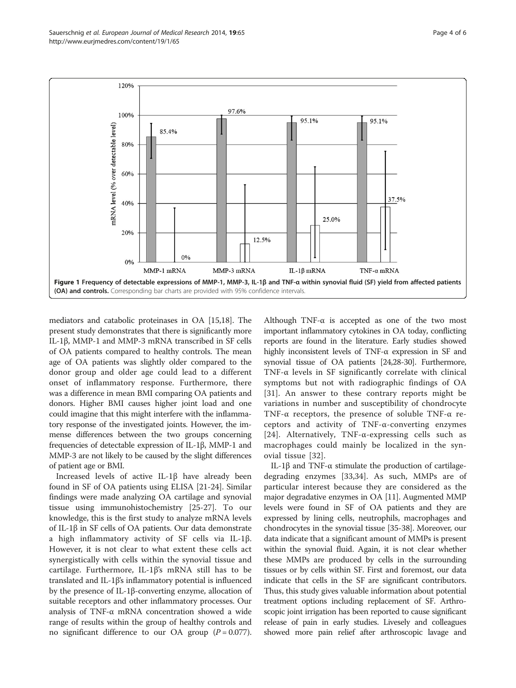<span id="page-3-0"></span>

mediators and catabolic proteinases in OA [[15,18\]](#page-4-0). The present study demonstrates that there is significantly more IL-1β, MMP-1 and MMP-3 mRNA transcribed in SF cells of OA patients compared to healthy controls. The mean age of OA patients was slightly older compared to the donor group and older age could lead to a different onset of inflammatory response. Furthermore, there was a difference in mean BMI comparing OA patients and donors. Higher BMI causes higher joint load and one could imagine that this might interfere with the inflammatory response of the investigated joints. However, the immense differences between the two groups concerning frequencies of detectable expression of IL-1β, MMP-1 and MMP-3 are not likely to be caused by the slight differences of patient age or BMI.

Increased levels of active IL-1β have already been found in SF of OA patients using ELISA [[21-24](#page-5-0)]. Similar findings were made analyzing OA cartilage and synovial tissue using immunohistochemistry [\[25](#page-5-0)-[27\]](#page-5-0). To our knowledge, this is the first study to analyze mRNA levels of IL-1β in SF cells of OA patients. Our data demonstrate a high inflammatory activity of SF cells via IL-1β. However, it is not clear to what extent these cells act synergistically with cells within the synovial tissue and cartilage. Furthermore, IL-1β's mRNA still has to be translated and IL-1β's inflammatory potential is influenced by the presence of IL-1β-converting enzyme, allocation of suitable receptors and other inflammatory processes. Our analysis of TNF- $\alpha$  mRNA concentration showed a wide range of results within the group of healthy controls and no significant difference to our OA group  $(P = 0.077)$ .

Although TNF- $\alpha$  is accepted as one of the two most important inflammatory cytokines in OA today, conflicting reports are found in the literature. Early studies showed highly inconsistent levels of TNF-α expression in SF and synovial tissue of OA patients [\[24,28-30\]](#page-5-0). Furthermore, TNF-α levels in SF significantly correlate with clinical symptoms but not with radiographic findings of OA [[31\]](#page-5-0). An answer to these contrary reports might be variations in number and susceptibility of chondrocyte TNF-α receptors, the presence of soluble TNF-α receptors and activity of TNF-α-converting enzymes [[24](#page-5-0)]. Alternatively, TNF-α-expressing cells such as macrophages could mainly be localized in the synovial tissue [[32](#page-5-0)].

IL-1β and TNF-α stimulate the production of cartilagedegrading enzymes [[33,34\]](#page-5-0). As such, MMPs are of particular interest because they are considered as the major degradative enzymes in OA [[11](#page-4-0)]. Augmented MMP levels were found in SF of OA patients and they are expressed by lining cells, neutrophils, macrophages and chondrocytes in the synovial tissue [\[35](#page-5-0)-[38](#page-5-0)]. Moreover, our data indicate that a significant amount of MMPs is present within the synovial fluid. Again, it is not clear whether these MMPs are produced by cells in the surrounding tissues or by cells within SF. First and foremost, our data indicate that cells in the SF are significant contributors. Thus, this study gives valuable information about potential treatment options including replacement of SF. Arthroscopic joint irrigation has been reported to cause significant release of pain in early studies. Livesely and colleagues showed more pain relief after arthroscopic lavage and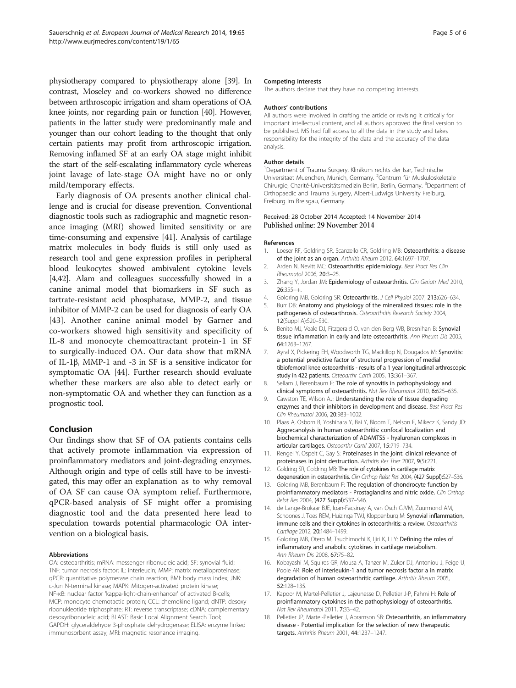<span id="page-4-0"></span>physiotherapy compared to physiotherapy alone [\[39\]](#page-5-0). In contrast, Moseley and co-workers showed no difference between arthroscopic irrigation and sham operations of OA knee joints, nor regarding pain or function [[40](#page-5-0)]. However, patients in the latter study were predominantly male and younger than our cohort leading to the thought that only certain patients may profit from arthroscopic irrigation. Removing inflamed SF at an early OA stage might inhibit the start of the self-escalating inflammatory cycle whereas joint lavage of late-stage OA might have no or only mild/temporary effects.

Early diagnosis of OA presents another clinical challenge and is crucial for disease prevention. Conventional diagnostic tools such as radiographic and magnetic resonance imaging (MRI) showed limited sensitivity or are time-consuming and expensive [\[41\]](#page-5-0). Analysis of cartilage matrix molecules in body fluids is still only used as research tool and gene expression profiles in peripheral blood leukocytes showed ambivalent cytokine levels [4,[42](#page-5-0)]. Alam and colleagues successfully showed in a canine animal model that biomarkers in SF such as tartrate-resistant acid phosphatase, MMP-2, and tissue inhibitor of MMP-2 can be used for diagnosis of early OA [[43](#page-5-0)]. Another canine animal model by Garner and co-workers showed high sensitivity and specificity of IL-8 and monocyte chemoattractant protein-1 in SF to surgically-induced OA. Our data show that mRNA of IL-1β, MMP-1 and -3 in SF is a sensitive indicator for symptomatic OA [[44\]](#page-5-0). Further research should evaluate whether these markers are also able to detect early or non-symptomatic OA and whether they can function as a prognostic tool.

# Conclusion

Our findings show that SF of OA patients contains cells that actively promote inflammation via expression of proinflammatory mediators and joint-degrading enzymes. Although origin and type of cells still have to be investigated, this may offer an explanation as to why removal of OA SF can cause OA symptom relief. Furthermore, qPCR-based analysis of SF might offer a promising diagnostic tool and the data presented here lead to speculation towards potential pharmacologic OA intervention on a biological basis.

#### Abbreviations

OA: osteoarthritis; mRNA: messenger ribonucleic acid; SF: synovial fluid; TNF: tumor necrosis factor; IL: interleucin; MMP: matrix metalloproteinase; qPCR: quantitative polymerase chain reaction; BMI: body mass index; JNK: c-Jun N-terminal kinase; MAPK: Mitogen-activated protein kinase; NF-κB: nuclear factor 'kappa-light-chain-enhancer' of activated B-cells; MCP: monocyte chemotactic protein; CCL: chemokine ligand; dNTP: desoxy ribonukleotide triphosphate; RT: reverse transcriptase; cDNA: complementary desoxyribonucleic acid; BLAST: Basic Local Alignment Search Tool; GAPDH: glyceraldehyde 3-phosphate dehydrogenase; ELISA: enzyme linked immunosorbent assay; MRI: magnetic resonance imaging.

#### Competing interests

The authors declare that they have no competing interests.

#### Authors' contributions

All authors were involved in drafting the article or revising it critically for important intellectual content, and all authors approved the final version to be published. MS had full access to all the data in the study and takes responsibility for the integrity of the data and the accuracy of the data analysis.

#### Author details

1 Department of Trauma Surgery, Klinikum rechts der Isar, Technische Universitaet Muenchen, Munich, Germany. <sup>2</sup>Centrum für Muskuloskeletale Chirurgie, Charité-Universitätsmedizin Berlin, Berlin, Germany. <sup>3</sup>Department of Orthopaedic and Trauma Surgery, Albert-Ludwigs University Freiburg, Freiburg im Breisgau, Germany.

#### Received: 28 October 2014 Accepted: 14 November 2014 Published online: 29 November 2014

#### References

- 1. Loeser RF, Goldring SR, Scanzello CR, Goldring MB: Osteoarthritis: a disease of the joint as an organ. Arthritis Rheum 2012, 64:1697–1707.
- 2. Arden N, Nevitt MC: Osteoarthritis: epidemiology. Best Pract Res Clin Rheumatol 2006, 20:3–25.
- 3. Zhang Y, Jordan JM: Epidemiology of osteoarthritis. Clin Geriatr Med 2010, 26:355−+.
- 4. Goldring MB, Goldring SR: Osteoarthritis. J Cell Physiol 2007, 213:626-634.
- 5. Burr DB: Anatomy and physiology of the mineralized tissues: role in the pathogenesis of osteoarthrosis. Osteoarthritis Research Society 2004, 12(Suppl A):S20–S30.
- 6. Benito MJ, Veale DJ, Fitzgerald O, van den Berg WB, Bresnihan B: Synovial tissue inflammation in early and late osteoarthritis. Ann Rheum Dis 2005, 64:1263–1267.
- 7. Ayral X, Pickering EH, Woodworth TG, Mackillop N, Dougados M: Synovitis: a potential predictive factor of structural progression of medial tibiofemoral knee osteoarthritis - results of a 1 year longitudinal arthroscopic study in 422 patients. Osteoarthr Cartil 2005, 13:361–367.
- 8. Sellam J, Berenbaum F: The role of synovitis in pathophysiology and clinical symptoms of osteoarthritis. Nat Rev Rheumatol 2010, 6:625–635.
- 9. Cawston TE, Wilson AJ: Understanding the role of tissue degrading enzymes and their inhibitors in development and disease. Best Pract Res Clin Rheumatol 2006, 20:983–1002.
- 10. Plaas A, Osborn B, Yoshihara Y, Bai Y, Bloom T, Nelson F, Mikecz K, Sandy JD: Aggrecanolysis in human osteoarthritis: confocal localization and biochemical characterization of ADAMTS5 - hyaluronan complexes in articular cartilages. Osteoarthr Cartil 2007, 15:719–734.
- 11. Rengel Y, Ospelt C, Gay S: Proteinases in the joint: clinical relevance of proteinases in joint destruction. Arthritis Res Ther 2007, 9(5):221.
- 12. Goldring SR, Goldring MB: The role of cytokines in cartilage matrix degeneration in osteoarthritis. Clin Orthop Relat Res 2004, (427 Suppl):S27-S36.
- 13. Goldring MB, Berenbaum F: The regulation of chondrocyte function by proinflammatory mediators - Prostaglandins and nitric oxide. Clin Orthop Relat Res 2004, (427 Suppl):S37–S46.
- 14. de Lange-Brokaar BJE, Ioan-Facsinay A, van Osch GJVM, Zuurmond AM, Schoones J, Toes REM, Huizinga TWJ, Kloppenburg M: Synovial inflammation, immune cells and their cytokines in osteoarthritis: a review. Osteoarthritis Cartilage 2012, 20:1484–1499.
- 15. Goldring MB, Otero M, Tsuchimochi K, Ijiri K, Li Y: Defining the roles of inflammatory and anabolic cytokines in cartilage metabolism. Ann Rheum Dis 2008, 67:75–82.
- 16. Kobayashi M, Squires GR, Mousa A, Tanzer M, Zukor DJ, Antoniou J, Feige U, Poole AR: Role of interleukin-1 and tumor necrosis factor a in matrix degradation of human osteoarthritic cartilage. Arthritis Rheum 2005, 52:128–135.
- 17. Kapoor M, Martel-Pelletier J, Lajeunesse D, Pelletier J-P, Fahmi H: Role of proinflammatory cytokines in the pathophysiology of osteoarthritis. Nat Rev Rheumatol 2011, 7:33–42.
- 18. Pelletier JP, Martel-Pelletier J, Abramson SB: Osteoarthritis, an inflammatory disease - Potential implication for the selection of new therapeutic targets. Arthritis Rheum 2001, 44:1237–1247.